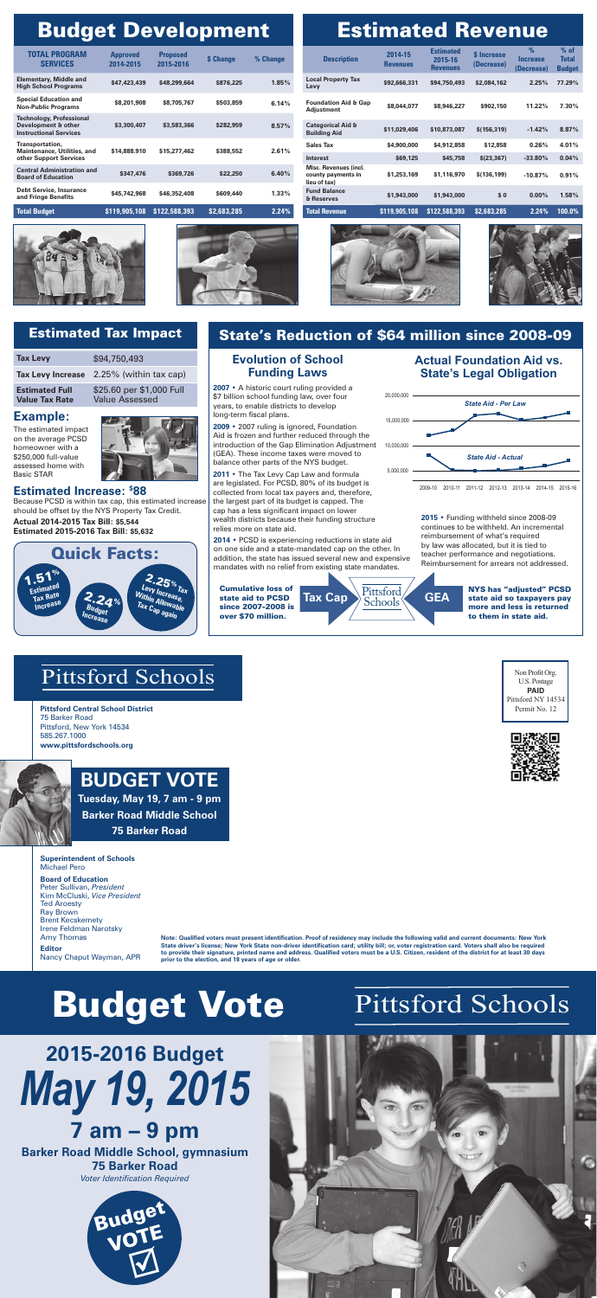# *May 19, 2015* **2015-2016 Budget 7 am – 9 pm**

#### **Barker Road Middle School, gymnasium 75 Barker Road**

*Voter Identification Required*

Non Profit Org.





## Pittsford Schools

**Pittsford Central School District** 75 Barker Road Pittsford, New York 14534 585.267.1000 **www.pittsfordschools.org**



**Note: Qualified voters must present identification. Proof of residency may include the following valid and current documents: New York State driver's license; New York State non-driver identification card; utility bill; or, voter registration card. Voters shall also be required to provide their signature, printed name and address. Qualified voters must be a U.S. Citizen, resident of the district for at least 30 days prior to the election, and 18 years of age or older.**

| <b>Description</b>                                          | 2014-15<br><b>Revenues</b> | <b>Estimated</b><br>2015-16<br><b>Revenues</b> | <b>S</b> Increase<br>(Decrease) | $\%$<br><b>Increase</b><br>(Decrease) | $%$ of<br><b>Total</b><br><b>Budget</b> |
|-------------------------------------------------------------|----------------------------|------------------------------------------------|---------------------------------|---------------------------------------|-----------------------------------------|
| <b>Local Property Tax</b><br>Levy                           | \$92,666,331               | \$94,750,493                                   | \$2,084,162                     | 2.25%                                 | 77.29%                                  |
| <b>Foundation Aid &amp; Gap</b><br>Adjustment               | \$8,044,077                | \$8,946,227                                    | \$902,150                       | 11.22%                                | $7.30\%$                                |
| <b>Categorical Aid &amp;</b><br><b>Building Aid</b>         | \$11,029,406               | \$10,873,087                                   | \$(156, 319)                    | $-1.42%$                              | 8.87%                                   |
| <b>Sales Tax</b>                                            | \$4,900,000                | \$4,912,858                                    | \$12,858                        | 0.26%                                 | 4.01%                                   |
| Interest                                                    | \$69,125                   | \$45,758                                       | \$(23, 367)                     | $-33.80\%$                            | 0.04%                                   |
| Misc. Revenues (incl.<br>county payments in<br>lieu of tax) | \$1,253,169                | \$1,116,970                                    | \$(136, 199)                    | $-10.87%$                             | 0.91%                                   |
| <b>Fund Balance</b><br>& Reserves                           | \$1,943,000                | \$1,943,000                                    | \$0                             | $0.00\%$                              | 1.58%                                   |
| <b>Total Revenue</b>                                        | \$119,905,108              | \$122,588,393                                  | \$2,683,285                     | 2.24%                                 | 100.0%                                  |





## **Budget Development**

| TOTAL PROGRAM<br><b>SERVICES</b>                                                        | <b>Approved</b><br>2014-2015 | <b>Proposed</b><br>2015-2016 | <b>S</b> Change | % Change |
|-----------------------------------------------------------------------------------------|------------------------------|------------------------------|-----------------|----------|
| <b>Elementary, Middle and</b><br><b>High School Programs</b>                            | \$47,423,439                 | \$48,299,664                 | \$876,225       | 1.85%    |
| <b>Special Education and</b><br><b>Non-Public Programs</b>                              | \$8,201,908                  | \$8,705,767                  | \$503,859       | 6.14%    |
| <b>Technology, Professional</b><br>Development & other<br><b>Instructional Services</b> | \$3,300,407                  | \$3,583,366                  | \$282,959       | 8.57%    |
| Transportation,<br><b>Maintenance, Utilities, and</b><br>other Support Services         | \$14,888,910                 | \$15,277,462                 | \$388,552       | 2.61%    |
| <b>Central Administration and</b><br><b>Board of Education</b>                          | \$347,476                    | \$369,726                    | \$22,250        | 6.40%    |
| <b>Debt Service, Insurance</b><br>and Fringe Benefits                                   | \$45,742,968                 | \$46,352,408                 | \$609,440       | 1.33%    |
| <b>Total Budget</b>                                                                     | \$119,905,108                | \$122,588,393                | \$2,683,285     | 2.24%    |

| <b>Estimated Revenue</b> |  |
|--------------------------|--|
|                          |  |

**Tax Cap** Pittsford **GEA** NYS has "adjusted" PCSD more and less is returned to them in state aid.

**Superintendent of Schools** Michael Pero

#### **Board of Education** Peter Sullivan, *President*

Kim McCluski, *Vice President* Ted Aroesty Ray Brown Brent Kecskemety Irene Feldman Narotsky Amy Thomas

**Editor** Nancy Chaput Wayman, APR

### State's Reduction of \$64 million since 2008-09

Pittsford Schools<sup>®</sup>

The estimated impact on the average PCSD homeowner with a \$250,000 full-value assessed home with Basic STAR



### Estimated Tax Impact

#### **Evolution of School Funding Laws**



| <b>Tax Levy</b>                                | \$94,750,493                                      |
|------------------------------------------------|---------------------------------------------------|
| <b>Tax Levy Increase</b>                       | 2.25% (within tax cap)                            |
| <b>Estimated Full</b><br><b>Value Tax Rate</b> | \$25.60 per \$1,000 Full<br><b>Value Assessed</b> |

### **Estimated Increase: \$ 88**

Because PCSD is within tax cap, this estimated increase should be offset by the NYS Property Tax Credit.

**Actual 2014-2015 Tax Bill: \$5,544 Estimated 2015-2016 Tax Bill: \$5,632**

#### **Example:**

## **Budget vote**

**Tuesday, May 19, 7 am - 9 pm Barker Road Middle School 75 Barker Road**





# Budget Vote Pittsford Schools

#### **Actual Foundation Aid vs. State's Legal Obligation**

**2007** • A historic court ruling provided a \$7 billion school funding law, over four years, to enable districts to develop long-term fiscal plans.

**2009** • 2007 ruling is ignored, Foundation Aid is frozen and further reduced through the introduction of the Gap Elimination Adjustment (GEA). These income taxes were moved to balance other parts of the NYS budget.



**2011** • The Tax Levy Cap Law and formula are legislated. For PCSD, 80% of its budget is collected from local tax payers and, therefore, the largest part of its budget is capped. The cap has a less significant impact on lower wealth districts because their funding structure relies more on state aid.

Cumulative loss of state aid to PCSD since 2007-2008 is over \$70 million.

**2014** • PCSD is experiencing reductions in state aid on one side and a state-mandated cap on the other. In addition, the state has issued several new and expensive mandates with no relief from existing state mandates.

**2015** • Funding withheld since 2008-09 continues to be withheld. An incremental reimbursement of what's required by law was allocated, but it is tied to teacher performance and negotiations. Reimbursement for arrears not addressed.